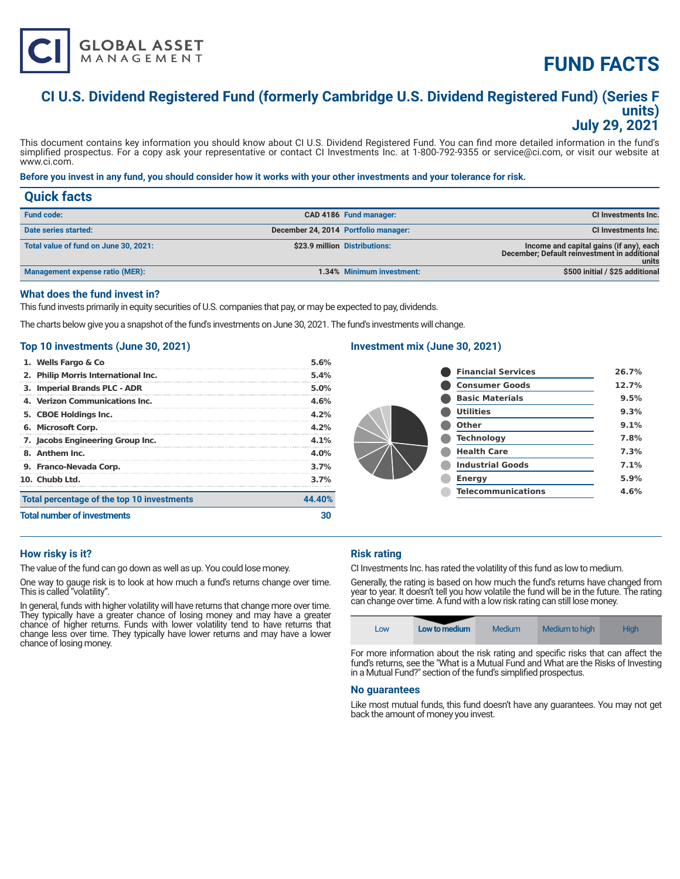# **FUND FACTS**

# **CI U.S. Dividend Registered Fund (formerly Cambridge U.S. Dividend Registered Fund) (Series F units) July 29, 2021**

This document contains key information you should know about CI U.S. Dividend Registered Fund. You can find more detailed information in the fund's simplified prospectus. For a copy ask your representative or contact CI Investments Inc. at 1-800-792-9355 or service@ci.com, or visit our website at www.ci.com.

#### **Before you invest in any fund, you should consider how it works with your other investments and your tolerance for risk.**

| <b>Quick facts</b>                     |                                      |                               |                                                                                                  |
|----------------------------------------|--------------------------------------|-------------------------------|--------------------------------------------------------------------------------------------------|
| <b>Fund code:</b>                      |                                      | CAD 4186 Fund manager:        | <b>CI Investments Inc.</b>                                                                       |
| Date series started:                   | December 24, 2014 Portfolio manager: |                               | CI Investments Inc.                                                                              |
| Total value of fund on June 30, 2021:  |                                      | \$23.9 million Distributions: | Income and capital gains (if any), each<br>December; Default reinvestment in additional<br>units |
| <b>Management expense ratio (MER):</b> |                                      | 1.34% Minimum investment:     | \$500 initial / \$25 additional                                                                  |

## **What does the fund invest in?**

This fund invests primarily in equity securities of U.S. companies that pay, or may be expected to pay, dividends.

The charts below give you a snapshot of the fund's investments on June 30, 2021. The fund's investments will change.

#### **Top 10 investments (June 30, 2021)**

**GLOBAL ASSET**<br>MANAGEMENT

| 1. Wells Fargo & Co                        | 5.6%    |
|--------------------------------------------|---------|
| 2. Philip Morris International Inc.        | 5.4%    |
| 3. Imperial Brands PLC - ADR               | 5.0%    |
| 4. Verizon Communications Inc.             | 4.6%    |
| 5. CBOE Holdings Inc.                      | 4.2%    |
| 6. Microsoft Corp.                         | 4.2%    |
| 7. Jacobs Engineering Group Inc.           | 4.1%    |
| 8. Anthem Inc.                             | $4.0\%$ |
| 9. Franco-Nevada Corp.                     | 3.7%    |
| 10. Chubb Ltd.                             | 3.7%    |
| Total percentage of the top 10 investments | 44.40%  |
| <b>Total number of investments</b>         |         |

#### **Investment mix (June 30, 2021)**

| <b>Financial Services</b> | 26.7% |
|---------------------------|-------|
| <b>Consumer Goods</b>     | 12.7% |
| <b>Basic Materials</b>    | 9.5%  |
| <b>Utilities</b>          | 9.3%  |
| Other                     | 9.1%  |
| <b>Technology</b>         | 7.8%  |
| <b>Health Care</b>        | 7.3%  |
| <b>Industrial Goods</b>   | 7.1%  |
| <b>Energy</b>             | 5.9%  |
| <b>Telecommunications</b> | 4.6%  |
|                           |       |

#### **How risky is it?**

The value of the fund can go down as well as up. You could lose money.

One way to gauge risk is to look at how much a fund's returns change over time. This is called "volatility".

In general, funds with higher volatility will have returns that change more over time. They typically have a greater chance of losing money and may have a greater chance of higher returns. Funds with lower volatility tend to have returns that change less over time. They typically have lower returns and may have a lower chance of losing money.

# **Risk rating**

CI Investments Inc. has rated the volatility of this fund as low to medium.

Generally, the rating is based on how much the fund's returns have changed from year to year. It doesn't tell you how volatile the fund will be in the future. The rating can change over time. A fund with a low risk rating can still lose money.

| Low to medium<br>LOW | Medium | Medium to high | <b>High</b> |
|----------------------|--------|----------------|-------------|
|----------------------|--------|----------------|-------------|

For more information about the risk rating and specific risks that can affect the fund's returns, see the "What is a Mutual Fund and What are the Risks of Investing in a Mutual Fund?" section of the fund's simplified prospectus.

#### **No guarantees**

Like most mutual funds, this fund doesn't have any guarantees. You may not get back the amount of money you invest.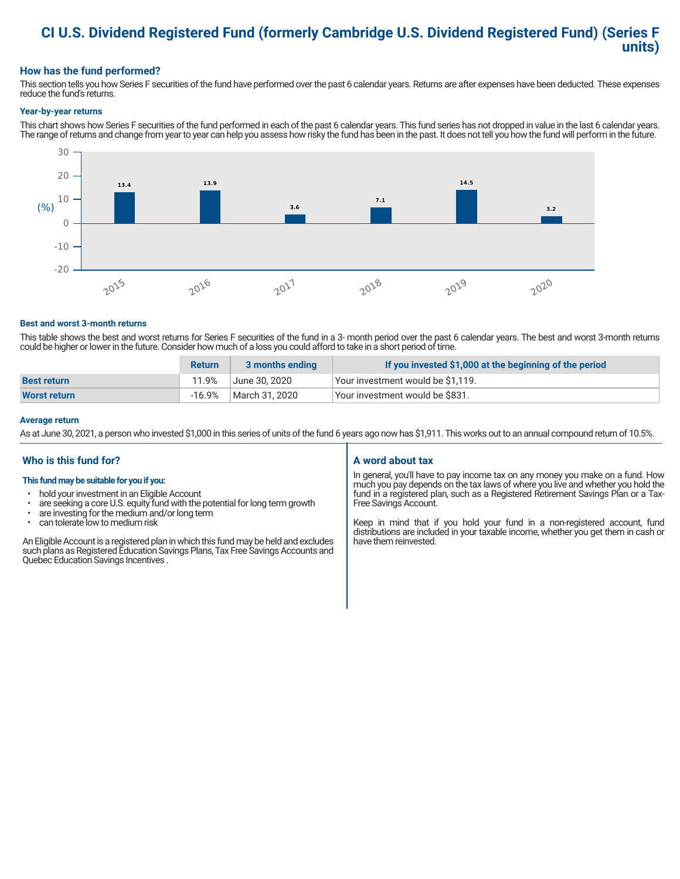# **CI U.S. Dividend Registered Fund (formerly Cambridge U.S. Dividend Registered Fund) (Series F units)**

# **How has the fund performed?**

This section tells you how Series F securities of the fund have performed over the past 6 calendar years. Returns are after expenses have been deducted. These expenses reduce the fund's returns.

#### **Year-by-year returns**

This chart shows how Series F securities of the fund performed in each of the past 6 calendar years. This fund series has not dropped in value in the last 6 calendar years. The range of returns and change from year to year can help you assess how risky the fund has been in the past. It does not tell you how the fund will perform in the future.



#### **Best and worst 3-month returns**

This table shows the best and worst returns for Series F securities of the fund in a 3- month period over the past 6 calendar years. The best and worst 3-month returns could be higher or lower in the future. Consider how much of a loss you could afford to take in a short period of time.

|                     | <b>Return</b> | 3 months ending | If you invested \$1,000 at the beginning of the period |
|---------------------|---------------|-----------------|--------------------------------------------------------|
| <b>Best return</b>  | 11.9%         | June 30. 2020   | Your investment would be \$1,119.                      |
| <b>Worst return</b> | -16.9%        | March 31, 2020  | Vour investment would be \$831.                        |

#### **Average return**

As at June 30, 2021, a person who invested \$1,000 in this series of units of the fund 6 years ago now has \$1,911. This works out to an annual compound return of 10.5%.

## **Who is this fund for?**

#### **This fund may be suitable for you if you:**

- hold your investment in an Eligible Account
- are seeking a core U.S. equity fund with the potential for long term growth
- $\cdot$  are investing for the medium and/or long term<br> $\cdot$  can tolerate low to medium risk
- can tolerate low to medium risk

An Eligible Account is a registered plan in which this fund may be held and excludes such plans as Registered Education Savings Plans, Tax Free Savings Accounts and Quebec Education Savings Incentives .

## **A word about tax**

In general, you'll have to pay income tax on any money you make on a fund. How much you pay depends on the tax laws of where you live and whether you hold the fund in a registered plan, such as a Registered Retirement Savings Plan or a Tax-Free Savings Account.

Keep in mind that if you hold your fund in a non-registered account, fund distributions are included in your taxable income, whether you get them in cash or have them reinvested.